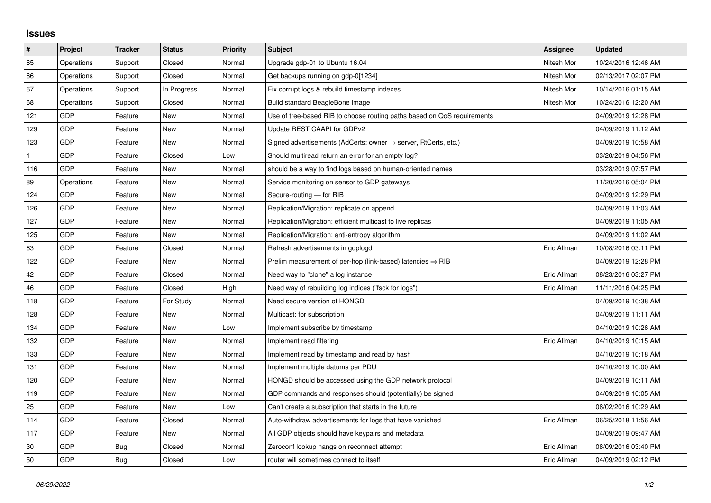## **Issues**

| $\vert$ # | Project    | <b>Tracker</b> | <b>Status</b> | <b>Priority</b> | <b>Subject</b>                                                             | <b>Assignee</b> | <b>Updated</b>      |
|-----------|------------|----------------|---------------|-----------------|----------------------------------------------------------------------------|-----------------|---------------------|
| 65        | Operations | Support        | Closed        | Normal          | Upgrade gdp-01 to Ubuntu 16.04                                             | Nitesh Mor      | 10/24/2016 12:46 AM |
| 66        | Operations | Support        | Closed        | Normal          | Get backups running on gdp-0[1234]                                         | Nitesh Mor      | 02/13/2017 02:07 PM |
| 67        | Operations | Support        | In Progress   | Normal          | Fix corrupt logs & rebuild timestamp indexes                               | Nitesh Mor      | 10/14/2016 01:15 AM |
| 68        | Operations | Support        | Closed        | Normal          | Build standard BeagleBone image                                            | Nitesh Mor      | 10/24/2016 12:20 AM |
| 121       | GDP        | Feature        | New           | Normal          | Use of tree-based RIB to choose routing paths based on QoS requirements    |                 | 04/09/2019 12:28 PM |
| 129       | GDP        | Feature        | New           | Normal          | Update REST CAAPI for GDPv2                                                |                 | 04/09/2019 11:12 AM |
| 123       | GDP        | Feature        | <b>New</b>    | Normal          | Signed advertisements (AdCerts: owner $\rightarrow$ server, RtCerts, etc.) |                 | 04/09/2019 10:58 AM |
| 1         | GDP        | Feature        | Closed        | Low             | Should multiread return an error for an empty log?                         |                 | 03/20/2019 04:56 PM |
| 116       | GDP        | Feature        | New           | Normal          | should be a way to find logs based on human-oriented names                 |                 | 03/28/2019 07:57 PM |
| 89        | Operations | Feature        | <b>New</b>    | Normal          | Service monitoring on sensor to GDP gateways                               |                 | 11/20/2016 05:04 PM |
| 124       | GDP        | Feature        | New           | Normal          | Secure-routing - for RIB                                                   |                 | 04/09/2019 12:29 PM |
| 126       | GDP        | Feature        | New           | Normal          | Replication/Migration: replicate on append                                 |                 | 04/09/2019 11:03 AM |
| 127       | GDP        | Feature        | New           | Normal          | Replication/Migration: efficient multicast to live replicas                |                 | 04/09/2019 11:05 AM |
| 125       | GDP        | Feature        | New           | Normal          | Replication/Migration: anti-entropy algorithm                              |                 | 04/09/2019 11:02 AM |
| 63        | GDP        | Feature        | Closed        | Normal          | Refresh advertisements in gdplogd                                          | Eric Allman     | 10/08/2016 03:11 PM |
| 122       | GDP        | Feature        | <b>New</b>    | Normal          | Prelim measurement of per-hop (link-based) latencies $\Rightarrow$ RIB     |                 | 04/09/2019 12:28 PM |
| 42        | GDP        | Feature        | Closed        | Normal          | Need way to "clone" a log instance                                         | Eric Allman     | 08/23/2016 03:27 PM |
| 46        | GDP        | Feature        | Closed        | High            | Need way of rebuilding log indices ("fsck for logs")                       | Eric Allman     | 11/11/2016 04:25 PM |
| 118       | GDP        | Feature        | For Study     | Normal          | Need secure version of HONGD                                               |                 | 04/09/2019 10:38 AM |
| 128       | GDP        | Feature        | New           | Normal          | Multicast: for subscription                                                |                 | 04/09/2019 11:11 AM |
| 134       | GDP        | Feature        | New           | Low             | Implement subscribe by timestamp                                           |                 | 04/10/2019 10:26 AM |
| 132       | GDP        | Feature        | New           | Normal          | Implement read filtering                                                   | Eric Allman     | 04/10/2019 10:15 AM |
| 133       | GDP        | Feature        | New           | Normal          | Implement read by timestamp and read by hash                               |                 | 04/10/2019 10:18 AM |
| 131       | GDP        | Feature        | New           | Normal          | Implement multiple datums per PDU                                          |                 | 04/10/2019 10:00 AM |
| 120       | GDP        | Feature        | New           | Normal          | HONGD should be accessed using the GDP network protocol                    |                 | 04/09/2019 10:11 AM |
| 119       | GDP        | Feature        | New           | Normal          | GDP commands and responses should (potentially) be signed                  |                 | 04/09/2019 10:05 AM |
| 25        | GDP        | Feature        | New           | Low             | Can't create a subscription that starts in the future                      |                 | 08/02/2016 10:29 AM |
| 114       | GDP        | Feature        | Closed        | Normal          | Auto-withdraw advertisements for logs that have vanished                   | Eric Allman     | 06/25/2018 11:56 AM |
| 117       | GDP        | Feature        | New           | Normal          | All GDP objects should have keypairs and metadata                          |                 | 04/09/2019 09:47 AM |
| 30        | GDP        | Bug            | Closed        | Normal          | Zeroconf lookup hangs on reconnect attempt                                 | Eric Allman     | 08/09/2016 03:40 PM |
| 50        | GDP        | Bug            | Closed        | Low             | router will sometimes connect to itself                                    | Eric Allman     | 04/09/2019 02:12 PM |